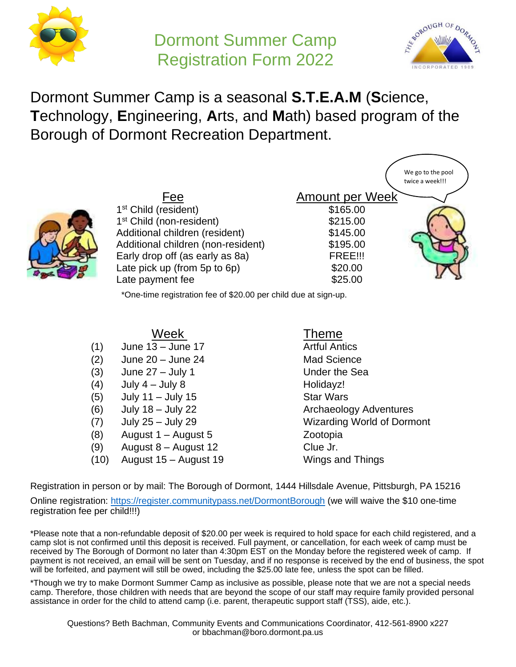

# Dormont Summer Camp Registration Form 2022



Dormont Summer Camp is a seasonal **S.T.E.A.M** (**S**cience, **T**echnology, **E**ngineering, **A**rts, and **M**ath) based program of the Borough of Dormont Recreation Department.



\*One-time registration fee of \$20.00 per child due at sign-up.

- (1) June 13 June 17 Artful Antics
- (2) June 20 June 24 Mad Science
- (3) June 27 July 1 Under the Sea
- $(4)$  July 4 July 8 Holidayz!
- $(5)$  July 11 July 15 Star Wars
- 
- 
- (8) August 1 August 5 Zootopia
- $(9)$  August 8 August 12 Clue Jr.
- (10) August 15 August 19 Wings and Things

# Theme

(6) July 18 – July 22 Archaeology Adventures (7) July 25 – July 29 Wizarding World of Dormont

Registration in person or by mail: The Borough of Dormont, 1444 Hillsdale Avenue, Pittsburgh, PA 15216 Online registration: [https://register.communitypass.net/DormontBorough](https://register.capturepoint.com/DormontBorough) (we will waive the \$10 one-time registration fee per child!!!)

\*Please note that a non-refundable deposit of \$20.00 per week is required to hold space for each child registered, and a camp slot is not confirmed until this deposit is received. Full payment, or cancellation, for each week of camp must be received by The Borough of Dormont no later than 4:30pm EST on the Monday before the registered week of camp. If payment is not received, an email will be sent on Tuesday, and if no response is received by the end of business, the spot will be forfeited, and payment will still be owed, including the \$25.00 late fee, unless the spot can be filled.

\*Though we try to make Dormont Summer Camp as inclusive as possible, please note that we are not a special needs camp. Therefore, those children with needs that are beyond the scope of our staff may require family provided personal assistance in order for the child to attend camp (i.e. parent, therapeutic support staff (TSS), aide, etc.).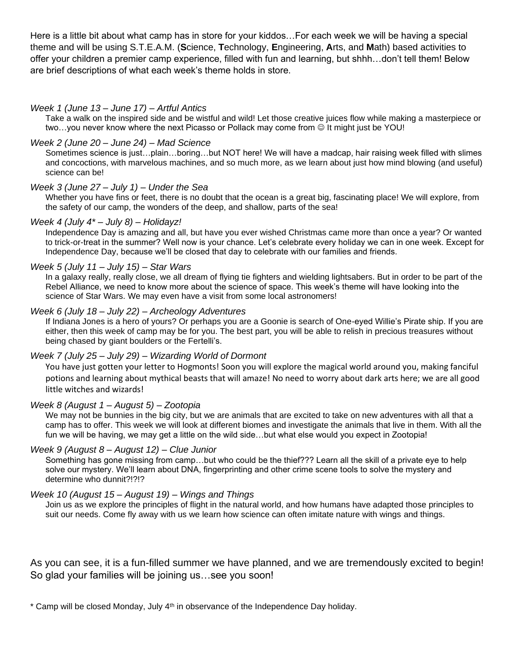Here is a little bit about what camp has in store for your kiddos…For each week we will be having a special theme and will be using S.T.E.A.M. (**S**cience, **T**echnology, **E**ngineering, **A**rts, and **M**ath) based activities to offer your children a premier camp experience, filled with fun and learning, but shhh…don't tell them! Below are brief descriptions of what each week's theme holds in store.

## *Week 1 (June 13 – June 17) – Artful Antics*

Take a walk on the inspired side and be wistful and wild! Let those creative juices flow while making a masterpiece or two…you never know where the next Picasso or Pollack may come from ☺ It might just be YOU!

## *Week 2 (June 20 – June 24) – Mad Science*

Sometimes science is just…plain…boring…but NOT here! We will have a madcap, hair raising week filled with slimes and concoctions, with marvelous machines, and so much more, as we learn about just how mind blowing (and useful) science can be!

# *Week 3 (June 27 – July 1) – Under the Sea*

Whether you have fins or feet, there is no doubt that the ocean is a great big, fascinating place! We will explore, from the safety of our camp, the wonders of the deep, and shallow, parts of the sea!

#### *Week 4 (July 4\* – July 8) – Holidayz!*

Independence Day is amazing and all, but have you ever wished Christmas came more than once a year? Or wanted to trick-or-treat in the summer? Well now is your chance. Let's celebrate every holiday we can in one week. Except for Independence Day, because we'll be closed that day to celebrate with our families and friends.

#### *Week 5 (July 11 – July 15) – Star Wars*

In a galaxy really, really close, we all dream of flying tie fighters and wielding lightsabers. But in order to be part of the Rebel Alliance, we need to know more about the science of space. This week's theme will have looking into the science of Star Wars. We may even have a visit from some local astronomers!

#### *Week 6 (July 18 – July 22) – Archeology Adventures*

If Indiana Jones is a hero of yours? Or perhaps you are a Goonie is search of One-eyed Willie's Pirate ship. If you are either, then this week of camp may be for you. The best part, you will be able to relish in precious treasures without being chased by giant boulders or the Fertelli's.

# *Week 7 (July 25 – July 29) – Wizarding World of Dormont*

You have just gotten your letter to Hogmonts! Soon you will explore the magical world around you, making fanciful potions and learning about mythical beasts that will amaze! No need to worry about dark arts here; we are all good little witches and wizards!

#### *Week 8 (August 1 – August 5) – Zootopia*

We may not be bunnies in the big city, but we are animals that are excited to take on new adventures with all that a camp has to offer. This week we will look at different biomes and investigate the animals that live in them. With all the fun we will be having, we may get a little on the wild side…but what else would you expect in Zootopia!

#### *Week 9 (August 8 – August 12) – Clue Junior*

Something has gone missing from camp…but who could be the thief??? Learn all the skill of a private eye to help solve our mystery. We'll learn about DNA, fingerprinting and other crime scene tools to solve the mystery and determine who dunnit?!?!?

#### *Week 10 (August 15 – August 19) – Wings and Things*

Join us as we explore the principles of flight in the natural world, and how humans have adapted those principles to suit our needs. Come fly away with us we learn how science can often imitate nature with wings and things.

As you can see, it is a fun-filled summer we have planned, and we are tremendously excited to begin! So glad your families will be joining us…see you soon!

\* Camp will be closed Monday, July 4th in observance of the Independence Day holiday.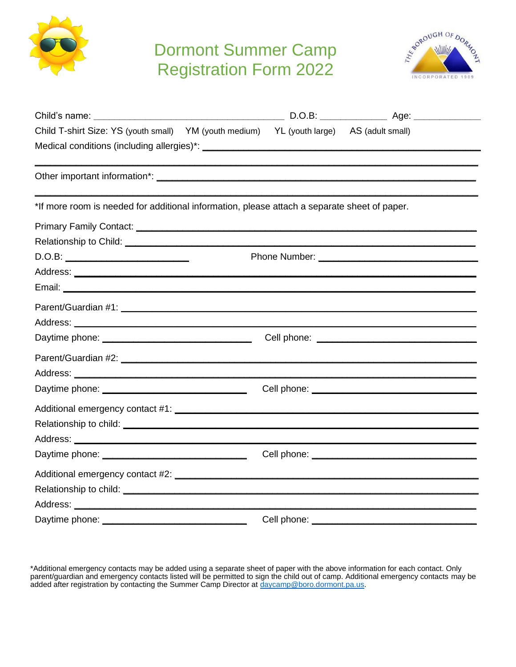

# Dormont Summer Camp Registration Form 2022



| Child T-shirt Size: YS (youth small) YM (youth medium) YL (youth large) AS (adult small)                                                                                                                                       |             |  |
|--------------------------------------------------------------------------------------------------------------------------------------------------------------------------------------------------------------------------------|-------------|--|
|                                                                                                                                                                                                                                |             |  |
|                                                                                                                                                                                                                                |             |  |
| *If more room is needed for additional information, please attach a separate sheet of paper.                                                                                                                                   |             |  |
| Primary Family Contact: National Context: National Context of Context of Context of Context of Context of Context of Context of Context of Context of Context of Context of Context of Context of Context of Context of Contex |             |  |
|                                                                                                                                                                                                                                |             |  |
| D.O.B:                                                                                                                                                                                                                         |             |  |
|                                                                                                                                                                                                                                |             |  |
|                                                                                                                                                                                                                                |             |  |
|                                                                                                                                                                                                                                |             |  |
|                                                                                                                                                                                                                                |             |  |
|                                                                                                                                                                                                                                |             |  |
|                                                                                                                                                                                                                                |             |  |
|                                                                                                                                                                                                                                |             |  |
|                                                                                                                                                                                                                                |             |  |
|                                                                                                                                                                                                                                |             |  |
|                                                                                                                                                                                                                                |             |  |
|                                                                                                                                                                                                                                |             |  |
|                                                                                                                                                                                                                                |             |  |
|                                                                                                                                                                                                                                |             |  |
|                                                                                                                                                                                                                                |             |  |
|                                                                                                                                                                                                                                |             |  |
| Daytime phone:                                                                                                                                                                                                                 | Cell phone: |  |

\*Additional emergency contacts may be added using a separate sheet of paper with the above information for each contact. Only parent/guardian and emergency contacts listed will be permitted to sign the child out of camp. Additional emergency contacts may be added after registration by contacting the Summer Camp Director at  $\frac{d\text{a}y\text{camp@boro.dormont.pa.us.}}{dx\text{bath@bron.dormont.pa.us.}}$